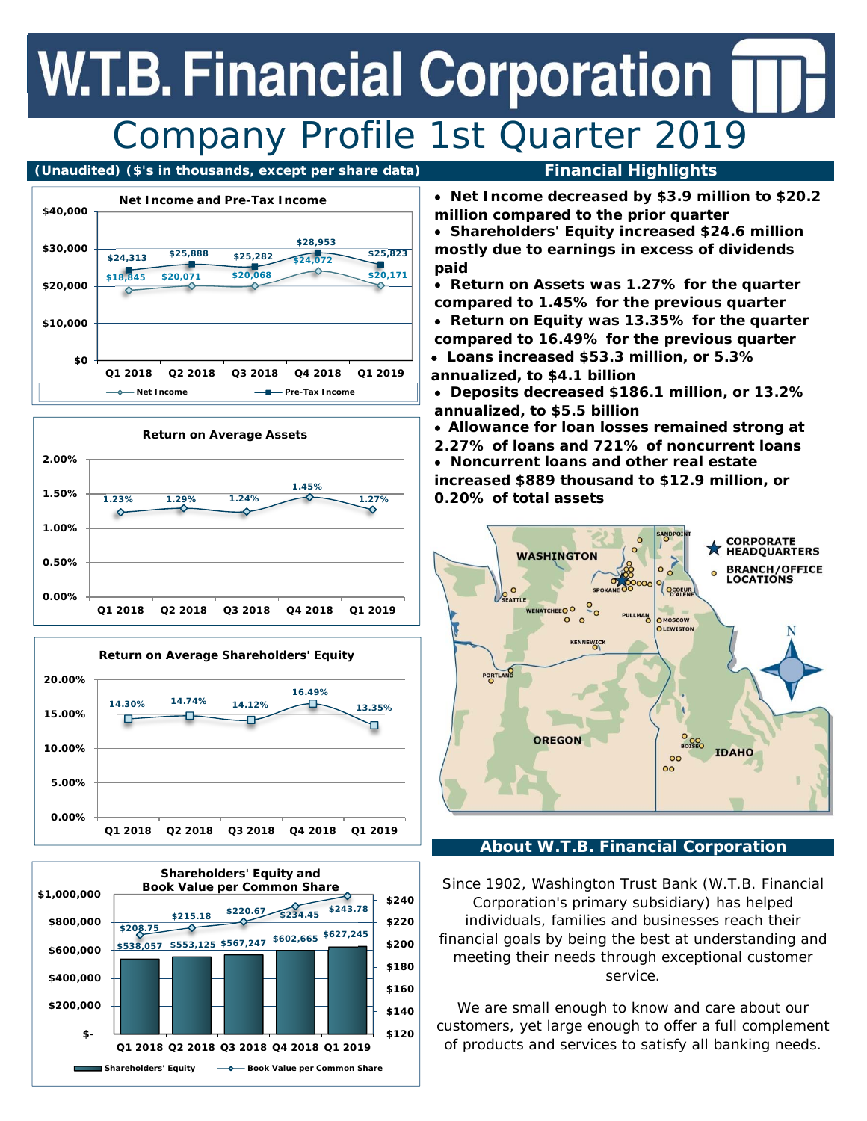## **W.T.B. Financial Corporation** Company Profile 1st Quarter 2019

#### **(Unaudited) (\$'s in thousands, except per share data) Financial Highlights**









 **Net Income decreased by \$3.9 million to \$20.2 million compared to the prior quarter** 

 **Shareholders' Equity increased \$24.6 million mostly due to earnings in excess of dividends paid** 

- **Return on Assets was 1.27% for the quarter compared to 1.45% for the previous quarter**
- **Return on Equity was 13.35% for the quarter compared to 16.49% for the previous quarter**
- **Loans increased \$53.3 million, or 5.3% annualized, to \$4.1 billion**
- **Deposits decreased \$186.1 million, or 13.2% annualized, to \$5.5 billion**
- **Allowance for loan losses remained strong at**
- **2.27% of loans and 721% of noncurrent loans Noncurrent loans and other real estate increased \$889 thousand to \$12.9 million, or 0.20% of total assets**



#### **About W.T.B. Financial Corporation**

Since 1902, Washington Trust Bank (W.T.B. Financial Corporation's primary subsidiary) has helped individuals, families and businesses reach their financial goals by being the best at understanding and meeting their needs through exceptional customer service.

We are small enough to know and care about our customers, yet large enough to offer a full complement of products and services to satisfy all banking needs.